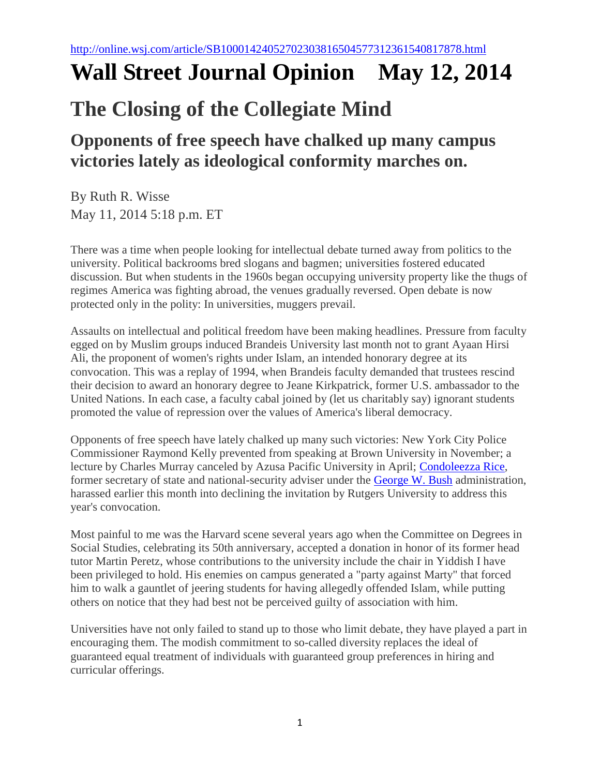## **Wall Street Journal Opinion May 12, 2014**

## **The Closing of the Collegiate Mind**

## **Opponents of free speech have chalked up many campus victories lately as ideological conformity marches on.**

By Ruth R. Wisse May 11, 2014 5:18 p.m. ET

There was a time when people looking for intellectual debate turned away from politics to the university. Political backrooms bred slogans and bagmen; universities fostered educated discussion. But when students in the 1960s began occupying university property like the thugs of regimes America was fighting abroad, the venues gradually reversed. Open debate is now protected only in the polity: In universities, muggers prevail.

Assaults on intellectual and political freedom have been making headlines. Pressure from faculty egged on by Muslim groups induced Brandeis University last month not to grant Ayaan Hirsi Ali, the proponent of women's rights under Islam, an intended honorary degree at its convocation. This was a replay of 1994, when Brandeis faculty demanded that trustees rescind their decision to award an honorary degree to Jeane Kirkpatrick, former U.S. ambassador to the United Nations. In each case, a faculty cabal joined by (let us charitably say) ignorant students promoted the value of repression over the values of America's liberal democracy.

Opponents of free speech have lately chalked up many such victories: New York City Police Commissioner Raymond Kelly prevented from speaking at Brown University in November; a lecture by Charles Murray canceled by Azusa Pacific University in April; [Condoleezza Rice,](http://topics.wsj.com/person/R/Condoleezza-Rice/6962) former secretary of state and national-security adviser under the [George W. Bush](http://topics.wsj.com/person/B/George-W.-Bush/5369) administration, harassed earlier this month into declining the invitation by Rutgers University to address this year's convocation.

Most painful to me was the Harvard scene several years ago when the Committee on Degrees in Social Studies, celebrating its 50th anniversary, accepted a donation in honor of its former head tutor Martin Peretz, whose contributions to the university include the chair in Yiddish I have been privileged to hold. His enemies on campus generated a "party against Marty" that forced him to walk a gauntlet of jeering students for having allegedly offended Islam, while putting others on notice that they had best not be perceived guilty of association with him.

Universities have not only failed to stand up to those who limit debate, they have played a part in encouraging them. The modish commitment to so-called diversity replaces the ideal of guaranteed equal treatment of individuals with guaranteed group preferences in hiring and curricular offerings.